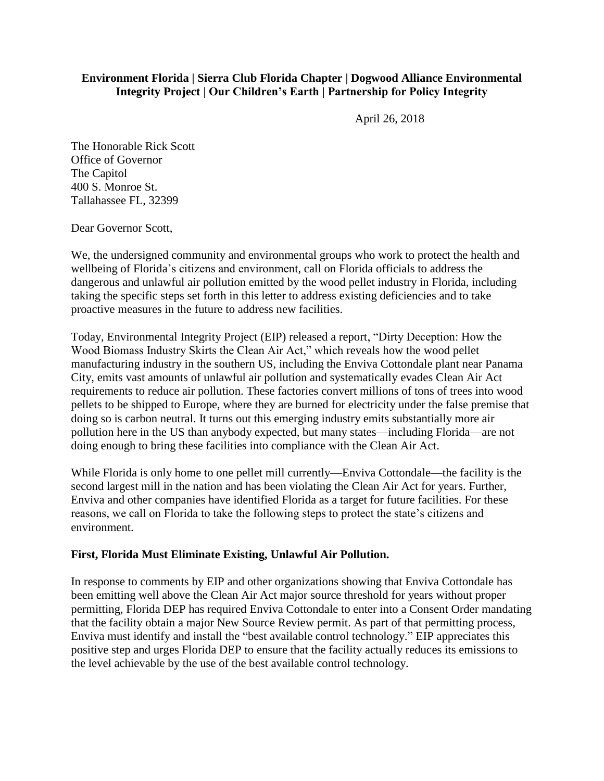## **Environment Florida | Sierra Club Florida Chapter | Dogwood Alliance Environmental Integrity Project | Our Children's Earth | Partnership for Policy Integrity**

April 26, 2018

The Honorable Rick Scott Office of Governor The Capitol 400 S. Monroe St. Tallahassee FL, 32399

Dear Governor Scott,

We, the undersigned community and environmental groups who work to protect the health and wellbeing of Florida's citizens and environment, call on Florida officials to address the dangerous and unlawful air pollution emitted by the wood pellet industry in Florida, including taking the specific steps set forth in this letter to address existing deficiencies and to take proactive measures in the future to address new facilities.

Today, Environmental Integrity Project (EIP) released a report, "Dirty Deception: How the Wood Biomass Industry Skirts the Clean Air Act," which reveals how the wood pellet manufacturing industry in the southern US, including the Enviva Cottondale plant near Panama City, emits vast amounts of unlawful air pollution and systematically evades Clean Air Act requirements to reduce air pollution. These factories convert millions of tons of trees into wood pellets to be shipped to Europe, where they are burned for electricity under the false premise that doing so is carbon neutral. It turns out this emerging industry emits substantially more air pollution here in the US than anybody expected, but many states—including Florida—are not doing enough to bring these facilities into compliance with the Clean Air Act.

While Florida is only home to one pellet mill currently—Enviva Cottondale—the facility is the second largest mill in the nation and has been violating the Clean Air Act for years. Further, Enviva and other companies have identified Florida as a target for future facilities. For these reasons, we call on Florida to take the following steps to protect the state's citizens and environment.

### **First, Florida Must Eliminate Existing, Unlawful Air Pollution.**

In response to comments by EIP and other organizations showing that Enviva Cottondale has been emitting well above the Clean Air Act major source threshold for years without proper permitting, Florida DEP has required Enviva Cottondale to enter into a Consent Order mandating that the facility obtain a major New Source Review permit. As part of that permitting process, Enviva must identify and install the "best available control technology." EIP appreciates this positive step and urges Florida DEP to ensure that the facility actually reduces its emissions to the level achievable by the use of the best available control technology.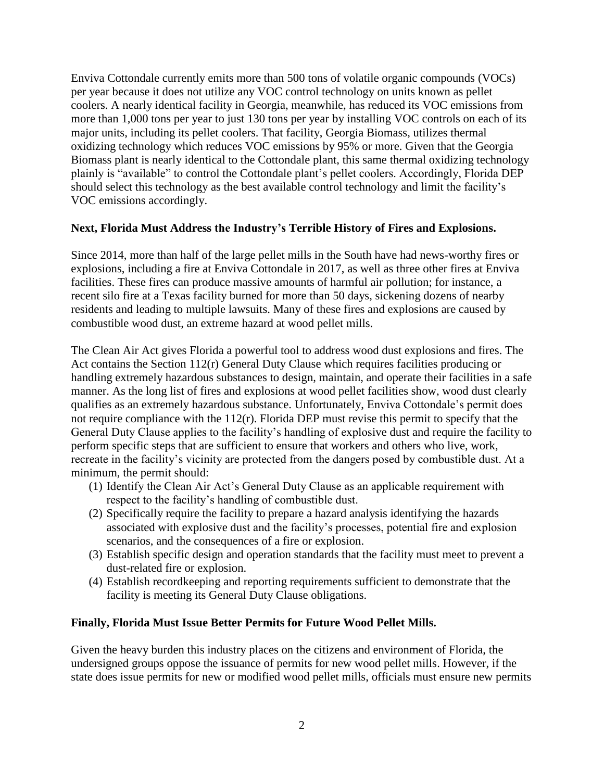Enviva Cottondale currently emits more than 500 tons of volatile organic compounds (VOCs) per year because it does not utilize any VOC control technology on units known as pellet coolers. A nearly identical facility in Georgia, meanwhile, has reduced its VOC emissions from more than 1,000 tons per year to just 130 tons per year by installing VOC controls on each of its major units, including its pellet coolers. That facility, Georgia Biomass, utilizes thermal oxidizing technology which reduces VOC emissions by 95% or more. Given that the Georgia Biomass plant is nearly identical to the Cottondale plant, this same thermal oxidizing technology plainly is "available" to control the Cottondale plant's pellet coolers. Accordingly, Florida DEP should select this technology as the best available control technology and limit the facility's VOC emissions accordingly.

### **Next, Florida Must Address the Industry's Terrible History of Fires and Explosions.**

Since 2014, more than half of the large pellet mills in the South have had news-worthy fires or explosions, including a fire at Enviva Cottondale in 2017, as well as three other fires at Enviva facilities. These fires can produce massive amounts of harmful air pollution; for instance, a recent silo fire at a Texas facility burned for more than 50 days, sickening dozens of nearby residents and leading to multiple lawsuits. Many of these fires and explosions are caused by combustible wood dust, an extreme hazard at wood pellet mills.

The Clean Air Act gives Florida a powerful tool to address wood dust explosions and fires. The Act contains the Section 112(r) General Duty Clause which requires facilities producing or handling extremely hazardous substances to design, maintain, and operate their facilities in a safe manner. As the long list of fires and explosions at wood pellet facilities show, wood dust clearly qualifies as an extremely hazardous substance. Unfortunately, Enviva Cottondale's permit does not require compliance with the 112(r). Florida DEP must revise this permit to specify that the General Duty Clause applies to the facility's handling of explosive dust and require the facility to perform specific steps that are sufficient to ensure that workers and others who live, work, recreate in the facility's vicinity are protected from the dangers posed by combustible dust. At a minimum, the permit should:

- (1) Identify the Clean Air Act's General Duty Clause as an applicable requirement with respect to the facility's handling of combustible dust.
- (2) Specifically require the facility to prepare a hazard analysis identifying the hazards associated with explosive dust and the facility's processes, potential fire and explosion scenarios, and the consequences of a fire or explosion.
- (3) Establish specific design and operation standards that the facility must meet to prevent a dust-related fire or explosion.
- (4) Establish recordkeeping and reporting requirements sufficient to demonstrate that the facility is meeting its General Duty Clause obligations.

### **Finally, Florida Must Issue Better Permits for Future Wood Pellet Mills.**

Given the heavy burden this industry places on the citizens and environment of Florida, the undersigned groups oppose the issuance of permits for new wood pellet mills. However, if the state does issue permits for new or modified wood pellet mills, officials must ensure new permits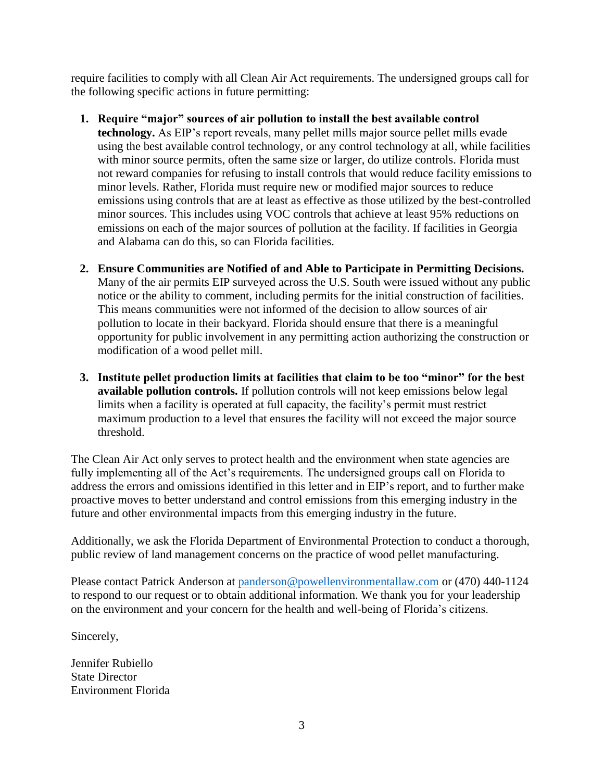require facilities to comply with all Clean Air Act requirements. The undersigned groups call for the following specific actions in future permitting:

# **1. Require "major" sources of air pollution to install the best available control**

**technology.** As EIP's report reveals, many pellet mills major source pellet mills evade using the best available control technology, or any control technology at all, while facilities with minor source permits, often the same size or larger, do utilize controls. Florida must not reward companies for refusing to install controls that would reduce facility emissions to minor levels. Rather, Florida must require new or modified major sources to reduce emissions using controls that are at least as effective as those utilized by the best-controlled minor sources. This includes using VOC controls that achieve at least 95% reductions on emissions on each of the major sources of pollution at the facility. If facilities in Georgia and Alabama can do this, so can Florida facilities.

- **2. Ensure Communities are Notified of and Able to Participate in Permitting Decisions.**  Many of the air permits EIP surveyed across the U.S. South were issued without any public notice or the ability to comment, including permits for the initial construction of facilities. This means communities were not informed of the decision to allow sources of air pollution to locate in their backyard. Florida should ensure that there is a meaningful opportunity for public involvement in any permitting action authorizing the construction or modification of a wood pellet mill.
- **3. Institute pellet production limits at facilities that claim to be too "minor" for the best available pollution controls.** If pollution controls will not keep emissions below legal limits when a facility is operated at full capacity, the facility's permit must restrict maximum production to a level that ensures the facility will not exceed the major source threshold.

The Clean Air Act only serves to protect health and the environment when state agencies are fully implementing all of the Act's requirements. The undersigned groups call on Florida to address the errors and omissions identified in this letter and in EIP's report, and to further make proactive moves to better understand and control emissions from this emerging industry in the future and other environmental impacts from this emerging industry in the future.

Additionally, we ask the Florida Department of Environmental Protection to conduct a thorough, public review of land management concerns on the practice of wood pellet manufacturing.

Please contact Patrick Anderson at [panderson@powellenvironmentallaw.com](mailto:panderson@powellenvironmentallaw.com) or (470) 440-1124 to respond to our request or to obtain additional information. We thank you for your leadership on the environment and your concern for the health and well-being of Florida's citizens.

Sincerely,

Jennifer Rubiello State Director Environment Florida